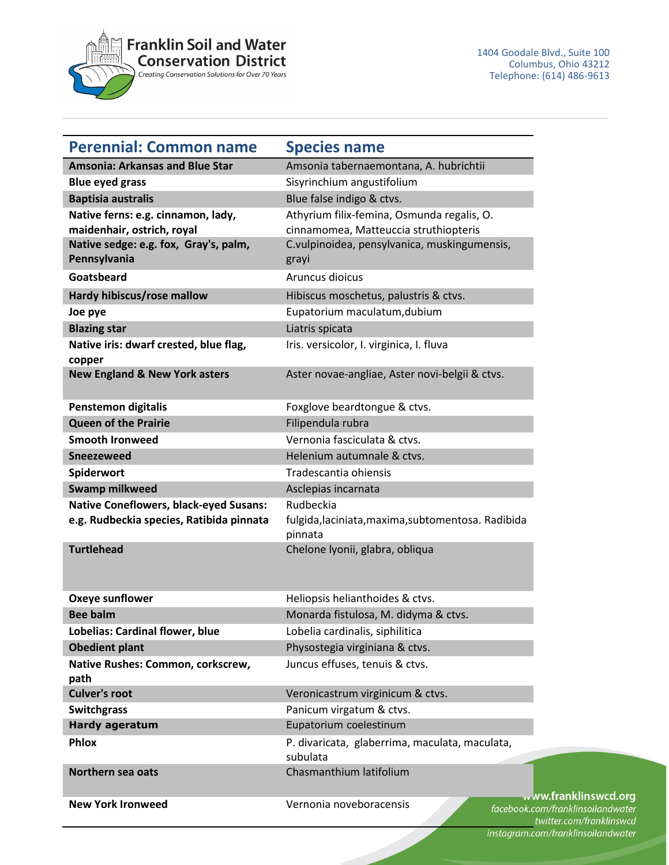

| <b>Perennial: Common name</b>                                                                                             | <b>Species name</b>                                                                                                                          |                                                          |
|---------------------------------------------------------------------------------------------------------------------------|----------------------------------------------------------------------------------------------------------------------------------------------|----------------------------------------------------------|
| <b>Amsonia: Arkansas and Blue Star</b>                                                                                    | Amsonia tabernaemontana, A. hubrichtii                                                                                                       |                                                          |
| <b>Blue eyed grass</b>                                                                                                    | Sisyrinchium angustifolium                                                                                                                   |                                                          |
| <b>Baptisia australis</b>                                                                                                 | Blue false indigo & ctvs.                                                                                                                    |                                                          |
| Native ferns: e.g. cinnamon, lady,<br>maidenhair, ostrich, royal<br>Native sedge: e.g. fox, Gray's, palm,<br>Pennsylvania | Athyrium filix-femina, Osmunda regalis, O.<br>cinnamomea, Matteuccia struthiopteris<br>C.vulpinoidea, pensylvanica, muskingumensis,<br>grayi |                                                          |
| Goatsbeard                                                                                                                | Aruncus dioicus                                                                                                                              |                                                          |
| Hardy hibiscus/rose mallow                                                                                                | Hibiscus moschetus, palustris & ctvs.                                                                                                        |                                                          |
| Joe pye                                                                                                                   | Eupatorium maculatum, dubium                                                                                                                 |                                                          |
| <b>Blazing star</b>                                                                                                       | Liatris spicata                                                                                                                              |                                                          |
| Native iris: dwarf crested, blue flag,<br>copper                                                                          | Iris. versicolor, I. virginica, I. fluva                                                                                                     |                                                          |
| <b>New England &amp; New York asters</b>                                                                                  | Aster novae-angliae, Aster novi-belgii & ctvs.                                                                                               |                                                          |
| <b>Penstemon digitalis</b>                                                                                                | Foxglove beardtongue & ctvs.                                                                                                                 |                                                          |
| <b>Queen of the Prairie</b>                                                                                               | Filipendula rubra                                                                                                                            |                                                          |
| <b>Smooth Ironweed</b>                                                                                                    | Vernonia fasciculata & ctvs.                                                                                                                 |                                                          |
| <b>Sneezeweed</b>                                                                                                         | Helenium autumnale & ctvs.                                                                                                                   |                                                          |
| Spiderwort                                                                                                                | Tradescantia ohiensis                                                                                                                        |                                                          |
| <b>Swamp milkweed</b>                                                                                                     | Asclepias incarnata                                                                                                                          |                                                          |
| <b>Native Coneflowers, black-eyed Susans:</b>                                                                             | Rudbeckia                                                                                                                                    |                                                          |
| e.g. Rudbeckia species, Ratibida pinnata                                                                                  | fulgida, laciniata, maxima, subtomentosa. Radibida<br>pinnata                                                                                |                                                          |
| <b>Turtlehead</b>                                                                                                         | Chelone Iyonii, glabra, obliqua                                                                                                              |                                                          |
| <b>Oxeye sunflower</b>                                                                                                    | Heliopsis helianthoides & ctvs.                                                                                                              |                                                          |
| <b>Bee balm</b>                                                                                                           | Monarda fistulosa, M. didyma & ctvs.                                                                                                         |                                                          |
| Lobelias: Cardinal flower, blue                                                                                           | Lobelia cardinalis, siphilitica                                                                                                              |                                                          |
| <b>Obedient plant</b>                                                                                                     | Physostegia virginiana & ctvs.                                                                                                               |                                                          |
| Native Rushes: Common, corkscrew,<br>path                                                                                 | Juncus effuses, tenuis & ctvs.                                                                                                               |                                                          |
| <b>Culver's root</b>                                                                                                      | Veronicastrum virginicum & ctvs.                                                                                                             |                                                          |
| <b>Switchgrass</b>                                                                                                        | Panicum virgatum & ctvs.                                                                                                                     |                                                          |
| <b>Hardy ageratum</b>                                                                                                     | Eupatorium coelestinum                                                                                                                       |                                                          |
| Phlox                                                                                                                     | P. divaricata, glaberrima, maculata, maculata,<br>subulata                                                                                   |                                                          |
| Northern sea oats                                                                                                         | Chasmanthium latifolium                                                                                                                      |                                                          |
| <b>New York Ironweed</b>                                                                                                  | Vernonia noveboracensis                                                                                                                      | ww.franklinswcd.org<br>facebook.com/franklinsoilandwater |

klinsoilandwater twitter.com/franklinswcd instagram.com/franklinsoilandwater